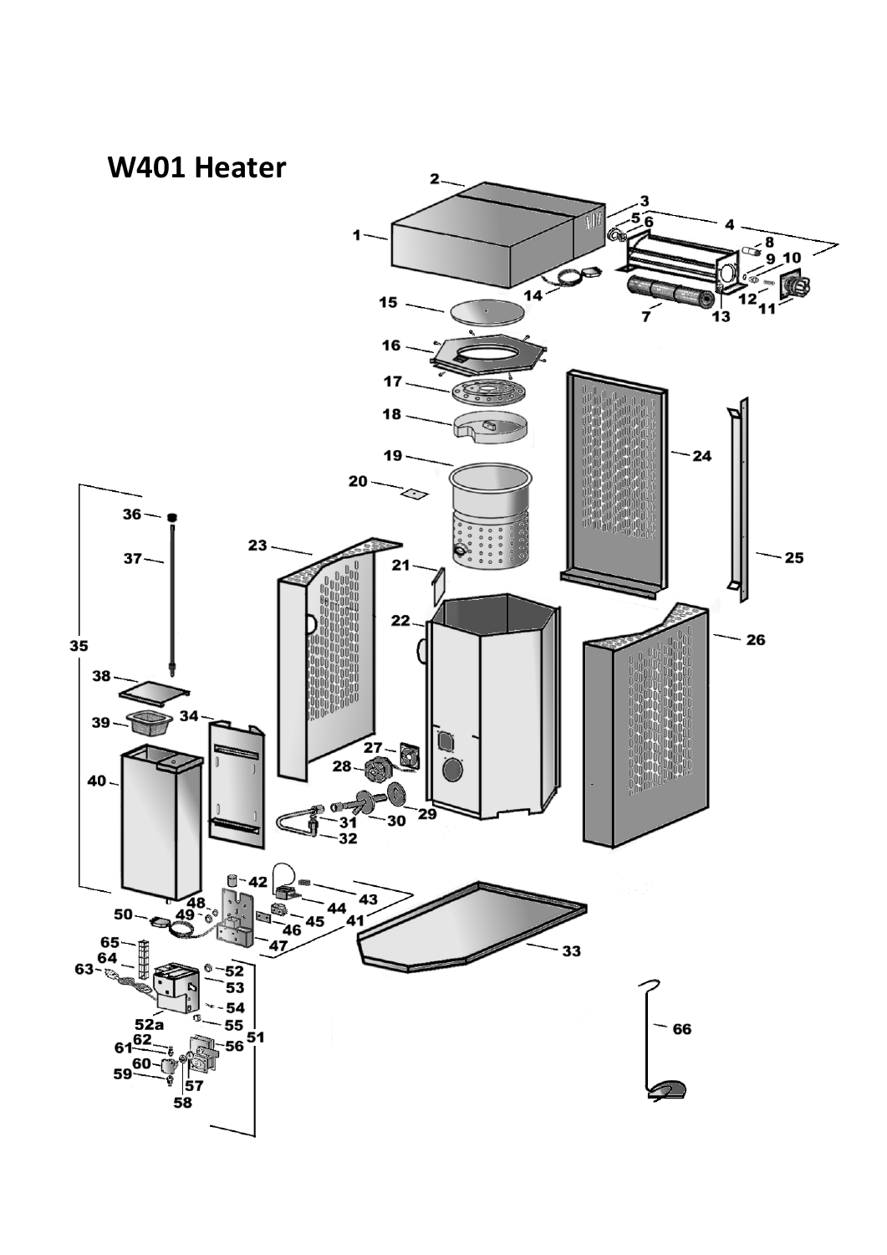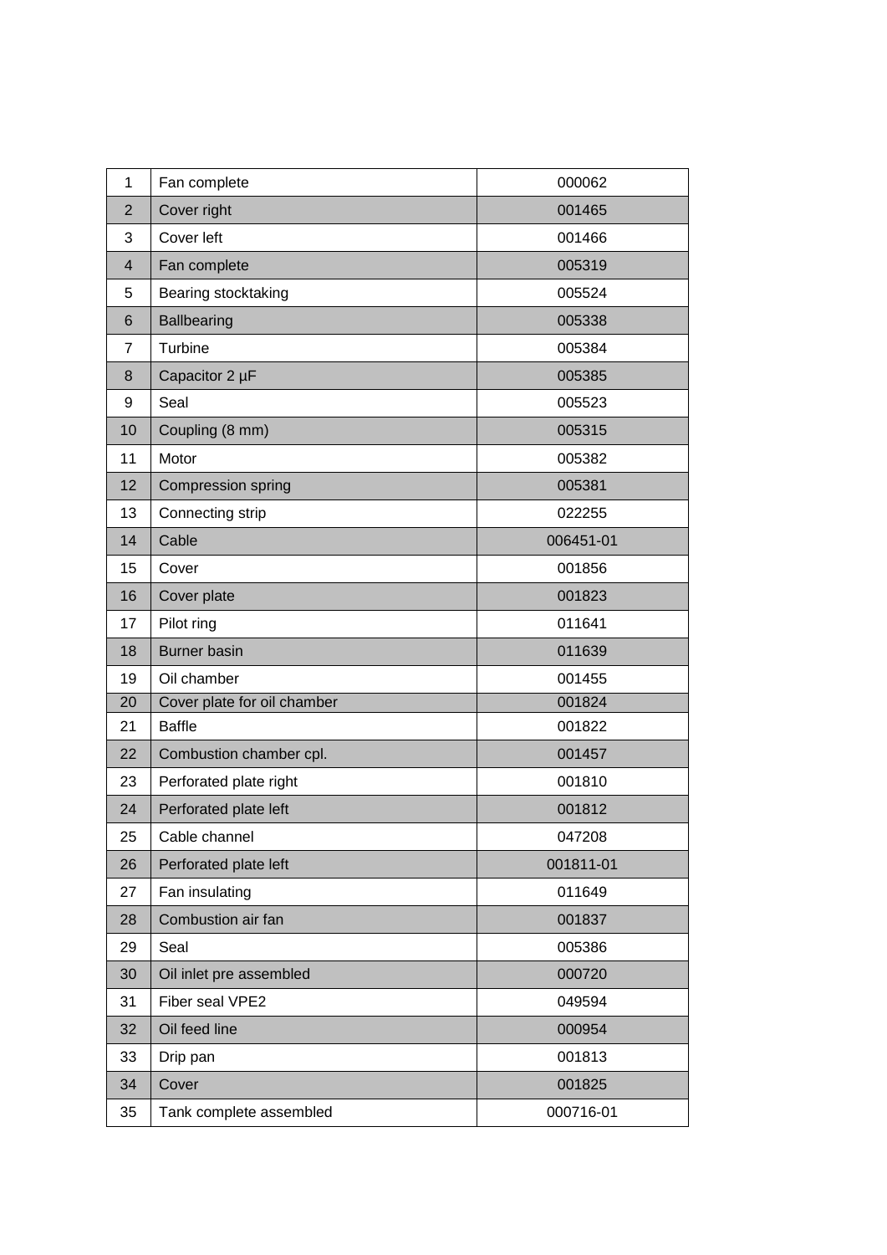| 1              | Fan complete                | 000062    |
|----------------|-----------------------------|-----------|
| $\overline{2}$ | Cover right                 | 001465    |
| 3              | Cover left                  | 001466    |
| $\overline{4}$ | Fan complete                | 005319    |
| 5              | Bearing stocktaking         | 005524    |
| 6              | <b>Ballbearing</b>          | 005338    |
| 7              | Turbine                     | 005384    |
| 8              | Capacitor 2 µF              | 005385    |
| 9              | Seal                        | 005523    |
| 10             | Coupling (8 mm)             | 005315    |
| 11             | Motor                       | 005382    |
| 12             | Compression spring          | 005381    |
| 13             | Connecting strip            | 022255    |
| 14             | Cable                       | 006451-01 |
| 15             | Cover                       | 001856    |
| 16             | Cover plate                 | 001823    |
| 17             | Pilot ring                  | 011641    |
| 18             | <b>Burner basin</b>         | 011639    |
| 19             | Oil chamber                 | 001455    |
| 20             | Cover plate for oil chamber | 001824    |
| 21             | <b>Baffle</b>               | 001822    |
| 22             | Combustion chamber cpl.     | 001457    |
| 23             | Perforated plate right      | 001810    |
| 24             | Perforated plate left       | 001812    |
| 25             | Cable channel               | 047208    |
| 26             | Perforated plate left       | 001811-01 |
| 27             | Fan insulating              | 011649    |
| 28             | Combustion air fan          | 001837    |
| 29             | Seal                        | 005386    |
| 30             | Oil inlet pre assembled     | 000720    |
| 31             | Fiber seal VPE2             | 049594    |
| 32             | Oil feed line               | 000954    |
| 33             | Drip pan                    | 001813    |
| 34             | Cover                       | 001825    |
| 35             | Tank complete assembled     | 000716-01 |